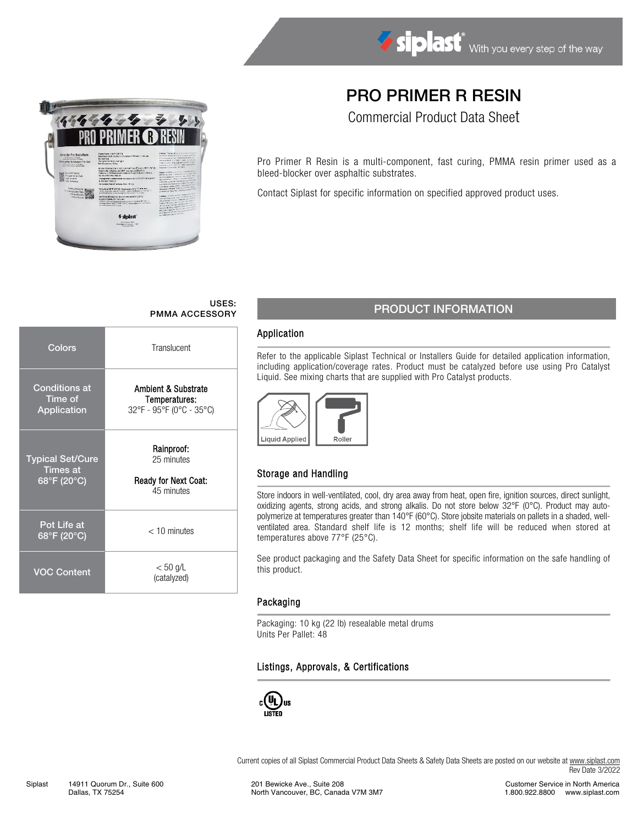

# PRO PRIMER R RESIN

Commercial Product Data Sheet

Pro Primer R Resin is a multi-component, fast curing, PMMA resin primer used as a bleed-blocker over asphaltic substrates.

Contact Siplast for specific information on specified approved product uses.

# USES:

| Colors                                                    | Translucent                                                           |  |  |  |  |  |  |
|-----------------------------------------------------------|-----------------------------------------------------------------------|--|--|--|--|--|--|
| <b>Conditions at</b><br>Time of<br>Application            | Ambient & Substrate<br>Temperatures:<br>32°F - 95°F (0°C - 35°C)      |  |  |  |  |  |  |
| <b>Typical Set/Cure</b><br><b>Times</b> at<br>68°F (20°C) | Rainproof:<br>25 minutes<br><b>Ready for Next Coat:</b><br>45 minutes |  |  |  |  |  |  |
| Pot Life at<br>68°F (20°C)                                | $<$ 10 minutes                                                        |  |  |  |  |  |  |
| <b>VOC Content</b>                                        | $< 50$ g/L<br>(catalyzed)                                             |  |  |  |  |  |  |

## USES: USES: PMMA ACCESSORY PRODUCT INFORMATION

#### Application

Refer to the applicable Siplast Technical or Installers Guide for detailed application information, including application/coverage rates. Product must be catalyzed before use using Pro Catalyst Liquid. See mixing charts that are supplied with Pro Catalyst products.



### Storage and Handling

Store indoors in well-ventilated, cool, dry area away from heat, open fire, ignition sources, direct sunlight, oxidizing agents, strong acids, and strong alkalis. Do not store below 32°F (0°C). Product may autopolymerize at temperatures greater than 140°F (60°C). Store jobsite materials on pallets in a shaded, wellventilated area. Standard shelf life is 12 months; shelf life will be reduced when stored at temperatures above 77°F (25°C).

See product packaging and the Safety Data Sheet for specific information on the safe handling of this product.

### Packaging

Packaging: 10 kg (22 lb) resealable metal drums Units Per Pallet: 48

### Listings, Approvals, & Certifications



Current copies of all Siplast Commercial Product Data Sheets & Safety Data Sheets are posted on our website a[t www.siplast.com](http://www.siplast.com/) Rev Date 3/2022